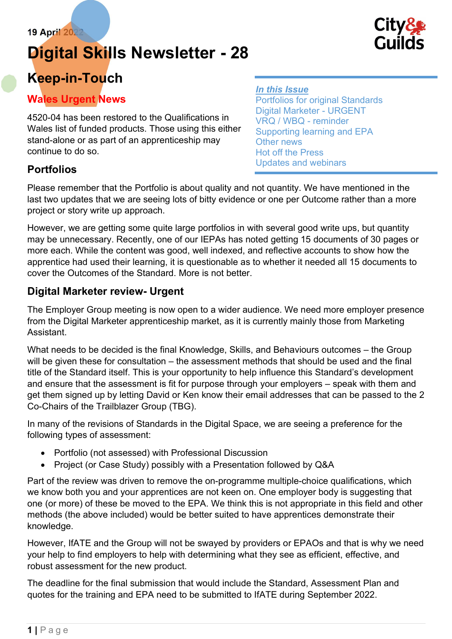## Digital Skills Newsletter - 28

# **Guilds**

### Keep-in-Touch

#### Wales Urgent News

4520-04 has been restored to the Qualifications in Wales list of funded products. Those using this either stand-alone or as part of an apprenticeship may continue to do so.

#### **Portfolios**

Please remember that the Portfolio is about quality and not quantity. We have mentioned in the last two updates that we are seeing lots of bitty evidence or one per Outcome rather than a more project or story write up approach.

However, we are getting some quite large portfolios in with several good write ups, but quantity may be unnecessary. Recently, one of our IEPAs has noted getting 15 documents of 30 pages or more each. While the content was good, well indexed, and reflective accounts to show how the apprentice had used their learning, it is questionable as to whether it needed all 15 documents to cover the Outcomes of the Standard. More is not better.

#### Digital Marketer review- Urgent

The Employer Group meeting is now open to a wider audience. We need more employer presence from the Digital Marketer apprenticeship market, as it is currently mainly those from Marketing **Assistant** 

What needs to be decided is the final Knowledge, Skills, and Behaviours outcomes – the Group will be given these for consultation – the assessment methods that should be used and the final title of the Standard itself. This is your opportunity to help influence this Standard's development and ensure that the assessment is fit for purpose through your employers – speak with them and get them signed up by letting David or Ken know their email addresses that can be passed to the 2 Co-Chairs of the Trailblazer Group (TBG).

In many of the revisions of Standards in the Digital Space, we are seeing a preference for the following types of assessment:

- Portfolio (not assessed) with Professional Discussion
- Project (or Case Study) possibly with a Presentation followed by Q&A

Part of the review was driven to remove the on-programme multiple-choice qualifications, which we know both you and your apprentices are not keen on. One employer body is suggesting that one (or more) of these be moved to the EPA. We think this is not appropriate in this field and other methods (the above included) would be better suited to have apprentices demonstrate their knowledge.

However, IfATE and the Group will not be swayed by providers or EPAOs and that is why we need your help to find employers to help with determining what they see as efficient, effective, and robust assessment for the new product.

The deadline for the final submission that would include the Standard, Assessment Plan and quotes for the training and EPA need to be submitted to IfATE during September 2022.

#### In this Issue

Portfolios for original Standards Digital Marketer - URGENT VRQ / WBQ - reminder Supporting learning and EPA Other news Hot off the Press Updates and webinars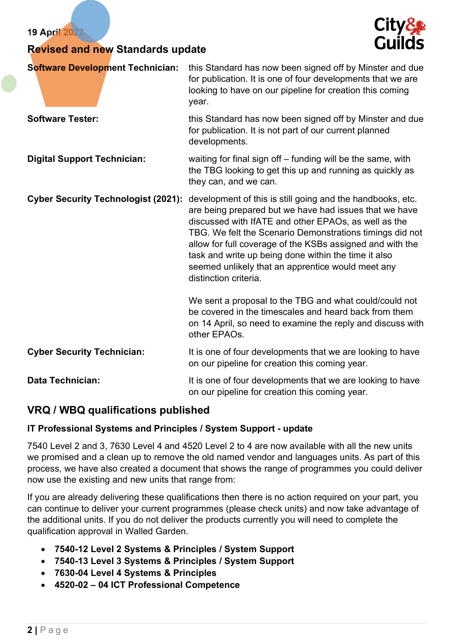| <b>19 April 2</b> |  |
|-------------------|--|
|-------------------|--|

#### Revised and new Standards update



| <b>Software Development Technician:</b>    | this Standard has now been signed off by Minster and due<br>for publication. It is one of four developments that we are<br>looking to have on our pipeline for creation this coming<br>year.                                                                                                                                                                                                                                                |
|--------------------------------------------|---------------------------------------------------------------------------------------------------------------------------------------------------------------------------------------------------------------------------------------------------------------------------------------------------------------------------------------------------------------------------------------------------------------------------------------------|
| <b>Software Tester:</b>                    | this Standard has now been signed off by Minster and due<br>for publication. It is not part of our current planned<br>developments.                                                                                                                                                                                                                                                                                                         |
| <b>Digital Support Technician:</b>         | waiting for final sign off $-$ funding will be the same, with<br>the TBG looking to get this up and running as quickly as<br>they can, and we can.                                                                                                                                                                                                                                                                                          |
| <b>Cyber Security Technologist (2021):</b> | development of this is still going and the handbooks, etc.<br>are being prepared but we have had issues that we have<br>discussed with IfATE and other EPAOs, as well as the<br>TBG. We felt the Scenario Demonstrations timings did not<br>allow for full coverage of the KSBs assigned and with the<br>task and write up being done within the time it also<br>seemed unlikely that an apprentice would meet any<br>distinction criteria. |
|                                            | We sent a proposal to the TBG and what could/could not<br>be covered in the timescales and heard back from them<br>on 14 April, so need to examine the reply and discuss with<br>other EPAOs.                                                                                                                                                                                                                                               |
| <b>Cyber Security Technician:</b>          | It is one of four developments that we are looking to have<br>on our pipeline for creation this coming year.                                                                                                                                                                                                                                                                                                                                |
| <b>Data Technician:</b>                    | It is one of four developments that we are looking to have<br>on our pipeline for creation this coming year.                                                                                                                                                                                                                                                                                                                                |

#### VRQ / WBQ qualifications published

#### IT Professional Systems and Principles / System Support - update

7540 Level 2 and 3, 7630 Level 4 and 4520 Level 2 to 4 are now available with all the new units we promised and a clean up to remove the old named vendor and languages units. As part of this process, we have also created a document that shows the range of programmes you could deliver now use the existing and new units that range from:

If you are already delivering these qualifications then there is no action required on your part, you can continue to deliver your current programmes (please check units) and now take advantage of the additional units. If you do not deliver the products currently you will need to complete the qualification approval in Walled Garden.

- 7540-12 Level 2 Systems & Principles / System Support
- 7540-13 Level 3 Systems & Principles / System Support
- 7630-04 Level 4 Systems & Principles
- 4520-02 04 ICT Professional Competence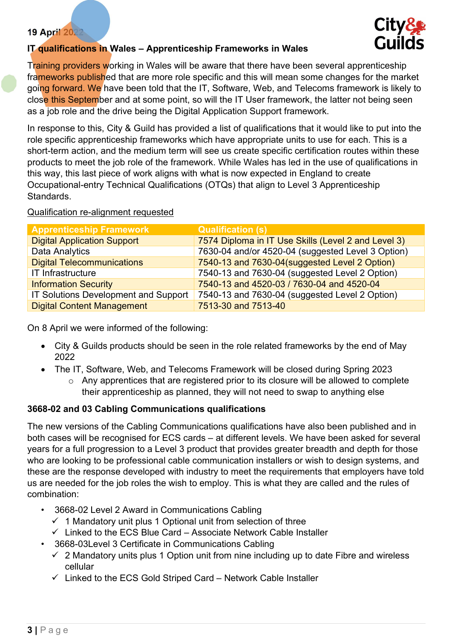

#### IT qualifications in Wales - Apprenticeship Frameworks in Wales

Training providers working in Wales will be aware that there have been several apprenticeship frameworks published that are more role specific and this will mean some changes for the market going forward. We have been told that the IT, Software, Web, and Telecoms framework is likely to close this September and at some point, so will the IT User framework, the latter not being seen as a job role and the drive being the Digital Application Support framework.

In response to this, City & Guild has provided a list of qualifications that it would like to put into the role specific apprenticeship frameworks which have appropriate units to use for each. This is a short-term action, and the medium term will see us create specific certification routes within these products to meet the job role of the framework. While Wales has led in the use of qualifications in this way, this last piece of work aligns with what is now expected in England to create Occupational-entry Technical Qualifications (OTQs) that align to Level 3 Apprenticeship Standards.

#### Qualification re-alignment requested

| <b>Apprenticeship Framework</b>      | <b>Qualification (s)</b>                            |
|--------------------------------------|-----------------------------------------------------|
| <b>Digital Application Support</b>   | 7574 Diploma in IT Use Skills (Level 2 and Level 3) |
| Data Analytics                       | 7630-04 and/or 4520-04 (suggested Level 3 Option)   |
| <b>Digital Telecommunications</b>    | 7540-13 and 7630-04(suggested Level 2 Option)       |
| IT Infrastructure                    | 7540-13 and 7630-04 (suggested Level 2 Option)      |
| <b>Information Security</b>          | 7540-13 and 4520-03 / 7630-04 and 4520-04           |
| IT Solutions Development and Support | 7540-13 and 7630-04 (suggested Level 2 Option)      |
| <b>Digital Content Management</b>    | 7513-30 and 7513-40                                 |

On 8 April we were informed of the following:

- City & Guilds products should be seen in the role related frameworks by the end of May 2022
- The IT, Software, Web, and Telecoms Framework will be closed during Spring 2023
	- o Any apprentices that are registered prior to its closure will be allowed to complete their apprenticeship as planned, they will not need to swap to anything else

#### 3668-02 and 03 Cabling Communications qualifications

The new versions of the Cabling Communications qualifications have also been published and in both cases will be recognised for ECS cards – at different levels. We have been asked for several years for a full progression to a Level 3 product that provides greater breadth and depth for those who are looking to be professional cable communication installers or wish to design systems, and these are the response developed with industry to meet the requirements that employers have told us are needed for the job roles the wish to employ. This is what they are called and the rules of combination:

- 3668-02 Level 2 Award in Communications Cabling
	- $\checkmark$  1 Mandatory unit plus 1 Optional unit from selection of three
	- $\checkmark$  Linked to the ECS Blue Card Associate Network Cable Installer
	- 3668-03Level 3 Certificate in Communications Cabling
	- $\checkmark$  2 Mandatory units plus 1 Option unit from nine including up to date Fibre and wireless cellular
	- $\checkmark$  Linked to the ECS Gold Striped Card Network Cable Installer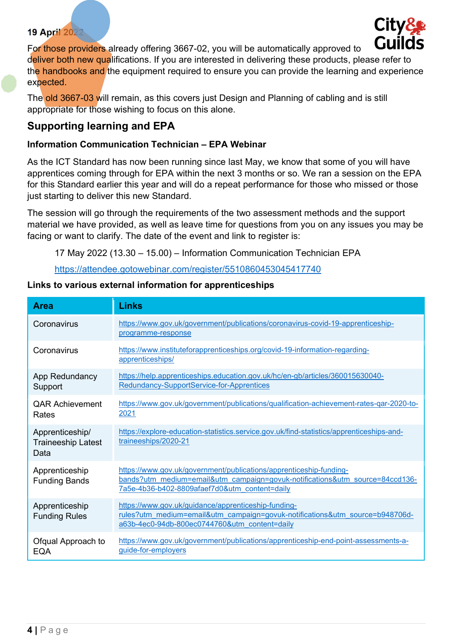

For those providers already offering 3667-02, you will be automatically approved to deliver both new qualifications. If you are interested in delivering these products, please refer to the handbooks and the equipment required to ensure you can provide the learning and experience expected.

The old 3667-03 will remain, as this covers just Design and Planning of cabling and is still appropriate for those wishing to focus on this alone.

#### Supporting learning and EPA

#### Information Communication Technician – EPA Webinar

As the ICT Standard has now been running since last May, we know that some of you will have apprentices coming through for EPA within the next 3 months or so. We ran a session on the EPA for this Standard earlier this year and will do a repeat performance for those who missed or those just starting to deliver this new Standard.

The session will go through the requirements of the two assessment methods and the support material we have provided, as well as leave time for questions from you on any issues you may be facing or want to clarify. The date of the event and link to register is:

17 May 2022 (13.30 – 15.00) – Information Communication Technician EPA

https://attendee.gotowebinar.com/register/5510860453045417740

|  |  | Links to various external information for apprenticeships |  |
|--|--|-----------------------------------------------------------|--|
|  |  |                                                           |  |

| <b>Area</b>                                          | <b>Links</b>                                                                                                                                                                                        |
|------------------------------------------------------|-----------------------------------------------------------------------------------------------------------------------------------------------------------------------------------------------------|
| Coronavirus                                          | https://www.gov.uk/government/publications/coronavirus-covid-19-apprenticeship-<br>programme-response                                                                                               |
| Coronavirus                                          | https://www.instituteforapprenticeships.org/covid-19-information-regarding-<br>apprenticeships/                                                                                                     |
| App Redundancy<br>Support                            | https://help.apprenticeships.education.gov.uk/hc/en-gb/articles/360015630040-<br>Redundancy-SupportService-for-Apprentices                                                                          |
| <b>QAR Achievement</b><br>Rates                      | https://www.gov.uk/government/publications/qualification-achievement-rates-gar-2020-to-<br>2021                                                                                                     |
| Apprenticeship/<br><b>Traineeship Latest</b><br>Data | https://explore-education-statistics.service.gov.uk/find-statistics/apprenticeships-and-<br>traineeships/2020-21                                                                                    |
| Apprenticeship<br><b>Funding Bands</b>               | https://www.gov.uk/government/publications/apprenticeship-funding-<br>bands?utm_medium=email&utm_campaign=govuk-notifications&utm_source=84ccd136-<br>7a5e-4b36-b402-8809afaef7d0&utm content=daily |
| Apprenticeship<br><b>Funding Rules</b>               | https://www.gov.uk/guidance/apprenticeship-funding-<br>rules?utm_medium=email&utm_campaign=govuk-notifications&utm_source=b948706d-<br>a63b-4ec0-94db-800ec0744760&utm_content=daily                |
| Ofqual Approach to<br><b>EQA</b>                     | https://www.gov.uk/government/publications/apprenticeship-end-point-assessments-a-<br>guide-for-employers                                                                                           |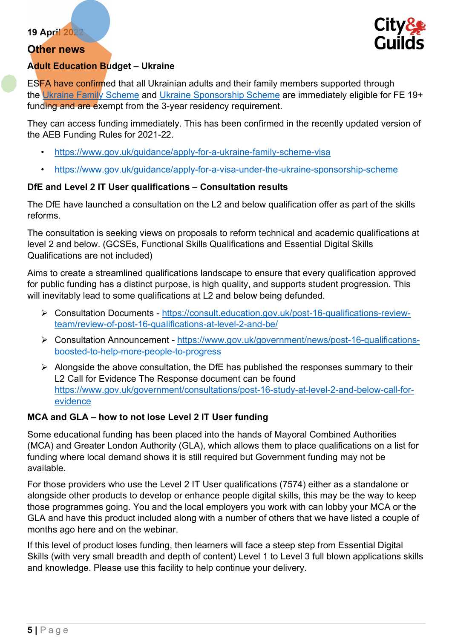#### Other news



#### Adult Education Budget – Ukraine

ESFA have confirmed that all Ukrainian adults and their family members supported through the Ukraine Family Scheme and Ukraine Sponsorship Scheme are immediately eligible for FE 19+ funding and are exempt from the 3-year residency requirement.

They can access funding immediately. This has been confirmed in the recently updated version of the AEB Funding Rules for 2021-22.

- https://www.gov.uk/guidance/apply-for-a-ukraine-family-scheme-visa
- https://www.gov.uk/guidance/apply-for-a-visa-under-the-ukraine-sponsorship-scheme

#### DfE and Level 2 IT User qualifications – Consultation results

The DfE have launched a consultation on the L2 and below qualification offer as part of the skills reforms.

The consultation is seeking views on proposals to reform technical and academic qualifications at level 2 and below. (GCSEs, Functional Skills Qualifications and Essential Digital Skills Qualifications are not included)

Aims to create a streamlined qualifications landscape to ensure that every qualification approved for public funding has a distinct purpose, is high quality, and supports student progression. This will inevitably lead to some qualifications at L2 and below being defunded.

- Consultation Documents https://consult.education.gov.uk/post-16-qualifications-reviewteam/review-of-post-16-qualifications-at-level-2-and-be/
- Consultation Announcement https://www.gov.uk/government/news/post-16-qualificationsboosted-to-help-more-people-to-progress
- $\triangleright$  Alongside the above consultation, the DfE has published the responses summary to their L2 Call for Evidence The Response document can be found https://www.gov.uk/government/consultations/post-16-study-at-level-2-and-below-call-forevidence

#### MCA and GLA – how to not lose Level 2 IT User funding

Some educational funding has been placed into the hands of Mayoral Combined Authorities (MCA) and Greater London Authority (GLA), which allows them to place qualifications on a list for funding where local demand shows it is still required but Government funding may not be available.

For those providers who use the Level 2 IT User qualifications (7574) either as a standalone or alongside other products to develop or enhance people digital skills, this may be the way to keep those programmes going. You and the local employers you work with can lobby your MCA or the GLA and have this product included along with a number of others that we have listed a couple of months ago here and on the webinar.

If this level of product loses funding, then learners will face a steep step from Essential Digital Skills (with very small breadth and depth of content) Level 1 to Level 3 full blown applications skills and knowledge. Please use this facility to help continue your delivery.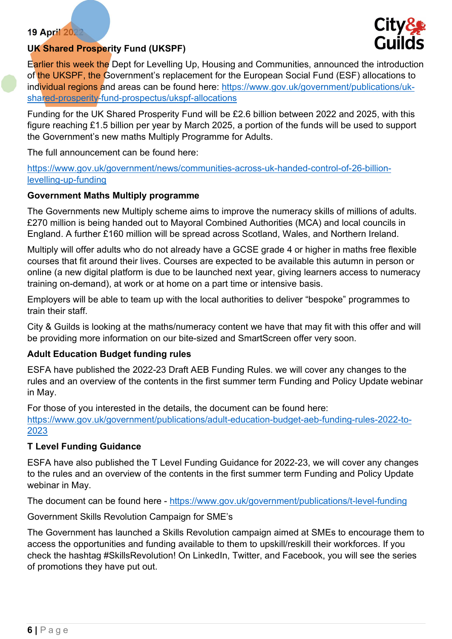



Earlier this week the Dept for Levelling Up, Housing and Communities, announced the introduction of the UKSPF, the Government's replacement for the European Social Fund (ESF) allocations to individual regions and areas can be found here: https://www.gov.uk/government/publications/ukshared-prosperity-fund-prospectus/ukspf-allocations

Funding for the UK Shared Prosperity Fund will be £2.6 billion between 2022 and 2025, with this figure reaching £1.5 billion per year by March 2025, a portion of the funds will be used to support the Government's new maths Multiply Programme for Adults.

The full announcement can be found here:

https://www.gov.uk/government/news/communities-across-uk-handed-control-of-26-billionlevelling-up-funding

#### Government Maths Multiply programme

The Governments new Multiply scheme aims to improve the numeracy skills of millions of adults. £270 million is being handed out to Mayoral Combined Authorities (MCA) and local councils in England. A further £160 million will be spread across Scotland, Wales, and Northern Ireland.

Multiply will offer adults who do not already have a GCSE grade 4 or higher in maths free flexible courses that fit around their lives. Courses are expected to be available this autumn in person or online (a new digital platform is due to be launched next year, giving learners access to numeracy training on-demand), at work or at home on a part time or intensive basis.

Employers will be able to team up with the local authorities to deliver "bespoke" programmes to train their staff.

City & Guilds is looking at the maths/numeracy content we have that may fit with this offer and will be providing more information on our bite-sized and SmartScreen offer very soon.

#### Adult Education Budget funding rules

ESFA have published the 2022-23 Draft AEB Funding Rules. we will cover any changes to the rules and an overview of the contents in the first summer term Funding and Policy Update webinar in May.

For those of you interested in the details, the document can be found here: https://www.gov.uk/government/publications/adult-education-budget-aeb-funding-rules-2022-to-2023

#### T Level Funding Guidance

ESFA have also published the T Level Funding Guidance for 2022-23, we will cover any changes to the rules and an overview of the contents in the first summer term Funding and Policy Update webinar in May.

The document can be found here - https://www.gov.uk/government/publications/t-level-funding

Government Skills Revolution Campaign for SME's

The Government has launched a Skills Revolution campaign aimed at SMEs to encourage them to access the opportunities and funding available to them to upskill/reskill their workforces. If you check the hashtag #SkillsRevolution! On LinkedIn, Twitter, and Facebook, you will see the series of promotions they have put out.